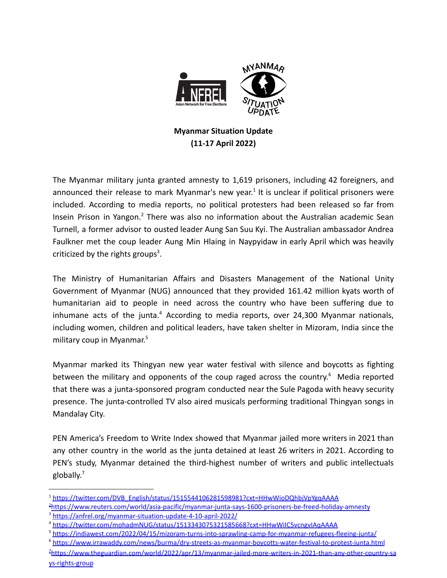

## **Myanmar Situation Update (11-17 April 2022)**

The Myanmar military junta granted amnesty to 1,619 prisoners, including 42 foreigners, and announced their release to mark Myanmar's new year.<sup>1</sup> It is unclear if political prisoners were included. According to media reports, no political protesters had been released so far from Insein Prison in Yangon.<sup>2</sup> There was also no information about the Australian academic Sean Turnell, a former advisor to ousted leader Aung San Suu Kyi. The Australian ambassador Andrea Faulkner met the coup leader Aung Min Hlaing in Naypyidaw in early April which was heavily criticized by the rights groups<sup>3</sup>.

The Ministry of Humanitarian Affairs and Disasters Management of the National Unity Government of Myanmar (NUG) announced that they provided 161.42 million kyats worth of humanitarian aid to people in need across the country who have been suffering due to inhumane acts of the junta.<sup>4</sup> According to media reports, over 24,300 Myanmar nationals, including women, children and political leaders, have taken shelter in Mizoram, India since the military coup in Myanmar. 5

Myanmar marked its Thingyan new year water festival with silence and boycotts as fighting between the military and opponents of the coup raged across the country.<sup>6</sup> Media reported that there was a junta-sponsored program conducted near the Sule Pagoda with heavy security presence. The junta-controlled TV also aired musicals performing traditional Thingyan songs in Mandalay City.

PEN America's Freedom to Write Index showed that Myanmar jailed more writers in 2021 than any other country in the world as the junta detained at least 26 writers in 2021. According to PEN's study, Myanmar detained the third-highest number of writers and public intellectuals globally. 7

<sup>&</sup>lt;sup>1</sup> [https://twitter.com/DVB\\_English/status/1515544106281598981?cxt=HHwWioDQhbjVpYgqAAAA](https://twitter.com/DVB_English/status/1515544106281598981?cxt=HHwWioDQhbjVpYgqAAAA)

<sup>&</sup>lt;sup>3</sup> <https://anfrel.org/myanmar-situation-update-4-10-april-2022/> <sup>2</sup>[https://www.reuters.com/world/asia-pacific/myanmar-junta-says-1600-prisoners-be-freed-holiday-amnesty](https://www.reuters.com/world/asia-pacific/myanmar-junta-says-1600-prisoners-be-freed-holiday-amnesty-2022-04-17/)

<sup>4</sup> <https://twitter.com/mohadmNUG/status/1513343075321585668?cxt=HHwWiIC5vcngvIAqAAAA>

<sup>5</sup> <https://indiawest.com/2022/04/15/mizoram-turns-into-sprawling-camp-for-myanmar-refugees-fleeing-junta/>

<sup>7</sup>[https://www.theguardian.com/world/2022/apr/13/myanmar-jailed-more-writers-in-2021-than-any-other-country-sa](https://www.theguardian.com/world/2022/apr/13/myanmar-jailed-more-writers-in-2021-than-any-other-country-says-rights-group) <sup>6</sup> <https://www.irrawaddy.com/news/burma/dry-streets-as-myanmar-boycotts-water-festival-to-protest-junta.html>